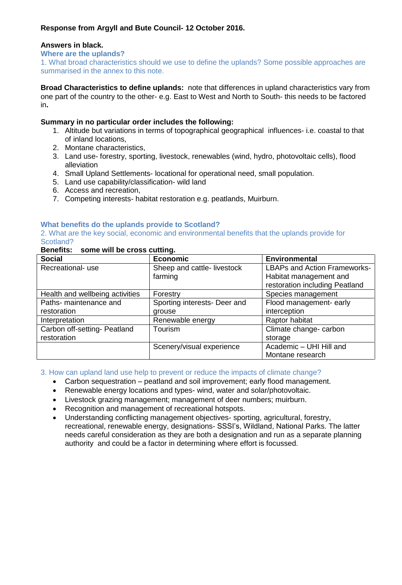# **Response from Argyll and Bute Council- 12 October 2016.**

## **Answers in black.**

#### **Where are the uplands?**

1. What broad characteristics should we use to define the uplands? Some possible approaches are summarised in the annex to this note.

**Broad Characteristics to define uplands:** note that differences in upland characteristics vary from one part of the country to the other- e.g. East to West and North to South- this needs to be factored in**.**

## **Summary in no particular order includes the following:**

- 1. Altitude but variations in terms of topographical geographical influences- i.e. coastal to that of inland locations,
- 2. Montane characteristics,
- 3. Land use- forestry, sporting, livestock, renewables (wind, hydro, photovoltaic cells), flood alleviation
- 4. Small Upland Settlements- locational for operational need, small population.
- 5. Land use capability/classification- wild land
- 6. Access and recreation,
- 7. Competing interests- habitat restoration e.g. peatlands, Muirburn.

# **What benefits do the uplands provide to Scotland?**

2. What are the key social, economic and environmental benefits that the uplands provide for Scotland?

### **Benefits: some will be cross cutting.**

| <b>Social</b>                   | <b>Economic</b>              | <b>Environmental</b>                |
|---------------------------------|------------------------------|-------------------------------------|
| Recreational- use               | Sheep and cattle- livestock  | <b>LBAPs and Action Frameworks-</b> |
|                                 | farming                      | Habitat management and              |
|                                 |                              | restoration including Peatland      |
| Health and wellbeing activities | Forestry                     | Species management                  |
| Paths- maintenance and          | Sporting interests- Deer and | Flood management- early             |
| restoration                     | grouse                       | interception                        |
| Interpretation                  | Renewable energy             | Raptor habitat                      |
| Carbon off-setting- Peatland    | <b>Tourism</b>               | Climate change- carbon              |
| restoration                     |                              | storage                             |
|                                 | Scenery/visual experience    | Academic - UHI Hill and             |
|                                 |                              | Montane research                    |

### 3. How can upland land use help to prevent or reduce the impacts of climate change?

- Carbon sequestration peatland and soil improvement; early flood management.
- Renewable energy locations and types- wind, water and solar/photovoltaic.
- Livestock grazing management; management of deer numbers; muirburn.
- Recognition and management of recreational hotspots.
- Understanding conflicting management objectives- sporting, agricultural, forestry, recreational, renewable energy, designations- SSSI's, Wildland, National Parks. The latter needs careful consideration as they are both a designation and run as a separate planning authority and could be a factor in determining where effort is focussed.